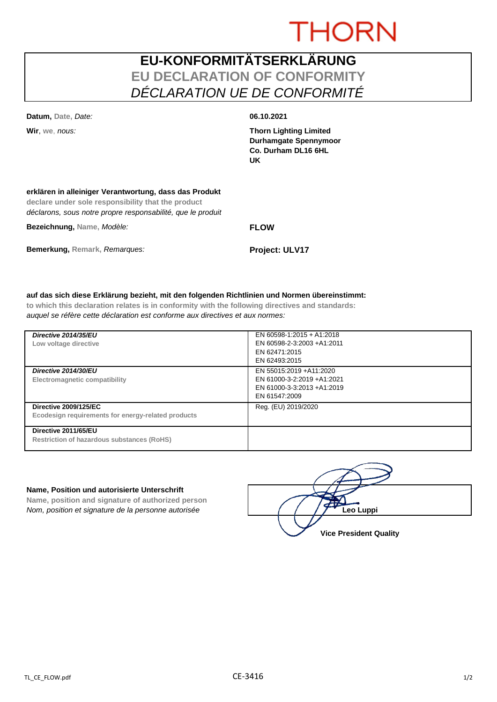# **THORN**

## **EU-KONFORMITÄTSERKLÄRUNG EU DECLARATION OF CONFORMITY** *DÉCLARATION UE DE CONFORMITÉ*

**Datum, Date,** *Date:* **06.10.2021**

**Wir**, **we**, *nous:* **Thorn Lighting Limited Durhamgate Spennymoor Co. Durham DL16 6HL UK**

### **erklären in alleiniger Verantwortung, dass das Produkt**

**declare under sole responsibility that the product** *déclarons, sous notre propre responsabilité, que le produit*

**Bezeichnung, Name,** *Modèle:* **FLOW**

**Bemerkung, Remark,** *Remarques:* **Project: ULV17**

### **auf das sich diese Erklärung bezieht, mit den folgenden Richtlinien und Normen übereinstimmt:**

**to which this declaration relates is in conformity with the following directives and standards:** *auquel se réfère cette déclaration est conforme aux directives et aux normes:*

| Directive 2014/35/EU<br>Low voltage directive                                      | EN 60598-1:2015 + A1:2018<br>EN 60598-2-3:2003 +A1:2011<br>EN 62471:2015<br>EN 62493:2015             |
|------------------------------------------------------------------------------------|-------------------------------------------------------------------------------------------------------|
| Directive 2014/30/EU<br>Electromagnetic compatibility                              | EN 55015:2019 + A11:2020<br>EN 61000-3-2:2019 +A1:2021<br>EN 61000-3-3:2013 +A1:2019<br>EN 61547:2009 |
| <b>Directive 2009/125/EC</b><br>Ecodesign requirements for energy-related products | Reg. (EU) 2019/2020                                                                                   |
| Directive 2011/65/EU<br>Restriction of hazardous substances (RoHS)                 |                                                                                                       |

### **Name, Position und autorisierte Unterschrift**

**Name, position and signature of authorized person** *Nom, position et signature de la personne autorisée*  $\left( \begin{array}{cc} \end{array} \right)$   $\left( \begin{array}{cc} \end{array} \right)$ **Leo Luppi** 

**Vice President Quality**